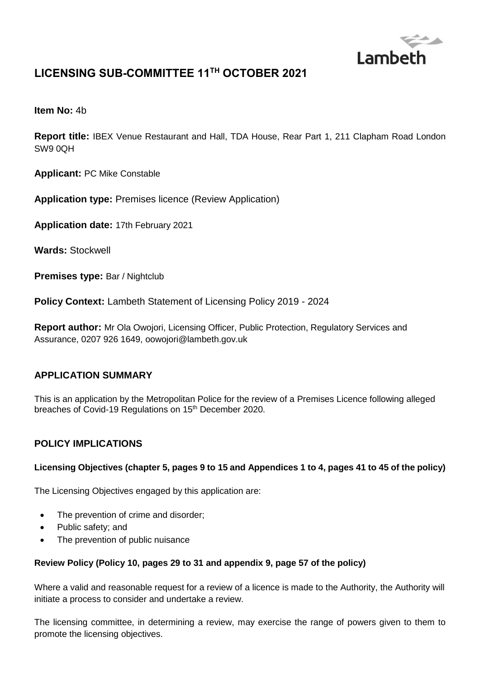

# **LICENSING SUB-COMMITTEE 11TH OCTOBER 2021**

#### **Item No:** 4b

**Report title:** IBEX Venue Restaurant and Hall, TDA House, Rear Part 1, 211 Clapham Road London SW9 0QH

**Applicant:** PC Mike Constable

**Application type:** Premises licence (Review Application)

**Application date:** 17th February 2021

**Wards:** Stockwell

**Premises type: Bar / Nightclub** 

**Policy Context:** Lambeth Statement of Licensing Policy 2019 - 2024

**Report author:** Mr Ola Owojori, Licensing Officer, Public Protection, Regulatory Services and Assurance, 0207 926 1649, oowojor[i@lambeth.gov.uk](mailto:someofficer@lambeth.gov.uk)

### **APPLICATION SUMMARY**

This is an application by the Metropolitan Police for the review of a Premises Licence following alleged breaches of Covid-19 Regulations on 15<sup>th</sup> December 2020.

### **POLICY IMPLICATIONS**

#### **Licensing Objectives (chapter 5, pages 9 to 15 and Appendices 1 to 4, pages 41 to 45 of the policy)**

The Licensing Objectives engaged by this application are:

- The prevention of crime and disorder;
- Public safety; and
- The prevention of public nuisance

#### **Review Policy (Policy 10, pages 29 to 31 and appendix 9, page 57 of the policy)**

Where a valid and reasonable request for a review of a licence is made to the Authority, the Authority will initiate a process to consider and undertake a review.

The licensing committee, in determining a review, may exercise the range of powers given to them to promote the licensing objectives.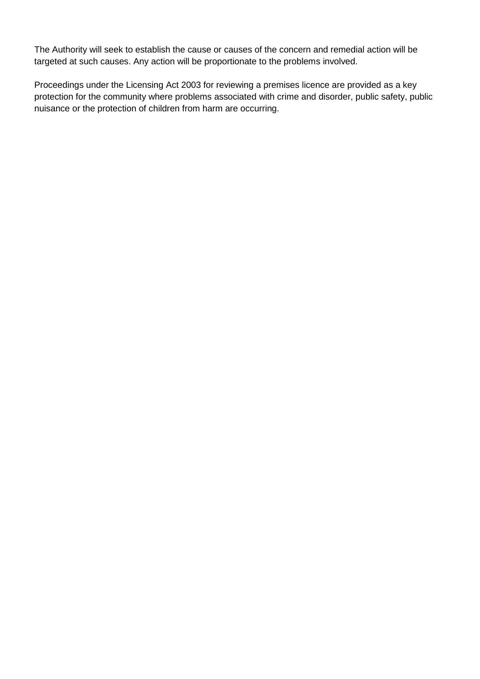The Authority will seek to establish the cause or causes of the concern and remedial action will be targeted at such causes. Any action will be proportionate to the problems involved.

Proceedings under the Licensing Act 2003 for reviewing a premises licence are provided as a key protection for the community where problems associated with crime and disorder, public safety, public nuisance or the protection of children from harm are occurring.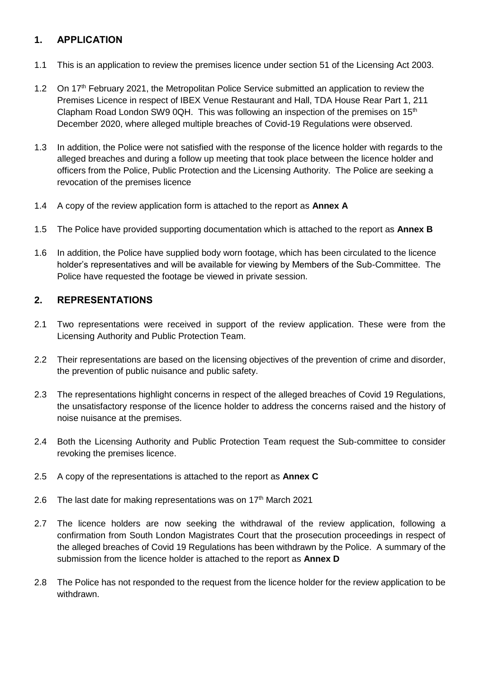# **1. APPLICATION**

- 1.1 This is an application to review the premises licence under section 51 of the Licensing Act 2003.
- 1.2 On 17<sup>th</sup> February 2021, the Metropolitan Police Service submitted an application to review the Premises Licence in respect of IBEX Venue Restaurant and Hall, TDA House Rear Part 1, 211 Clapham Road London SW9 0QH. This was following an inspection of the premises on  $15<sup>th</sup>$ December 2020, where alleged multiple breaches of Covid-19 Regulations were observed.
- 1.3 In addition, the Police were not satisfied with the response of the licence holder with regards to the alleged breaches and during a follow up meeting that took place between the licence holder and officers from the Police, Public Protection and the Licensing Authority. The Police are seeking a revocation of the premises licence
- 1.4 A copy of the review application form is attached to the report as **Annex A**
- 1.5 The Police have provided supporting documentation which is attached to the report as **Annex B**
- 1.6 In addition, the Police have supplied body worn footage, which has been circulated to the licence holder's representatives and will be available for viewing by Members of the Sub-Committee. The Police have requested the footage be viewed in private session.

### **2. REPRESENTATIONS**

- 2.1 Two representations were received in support of the review application. These were from the Licensing Authority and Public Protection Team.
- 2.2 Their representations are based on the licensing objectives of the prevention of crime and disorder, the prevention of public nuisance and public safety.
- 2.3 The representations highlight concerns in respect of the alleged breaches of Covid 19 Regulations, the unsatisfactory response of the licence holder to address the concerns raised and the history of noise nuisance at the premises.
- 2.4 Both the Licensing Authority and Public Protection Team request the Sub-committee to consider revoking the premises licence.
- 2.5 A copy of the representations is attached to the report as **Annex C**
- 2.6 The last date for making representations was on  $17<sup>th</sup>$  March 2021
- 2.7 The licence holders are now seeking the withdrawal of the review application, following a confirmation from South London Magistrates Court that the prosecution proceedings in respect of the alleged breaches of Covid 19 Regulations has been withdrawn by the Police. A summary of the submission from the licence holder is attached to the report as **Annex D**
- 2.8 The Police has not responded to the request from the licence holder for the review application to be withdrawn.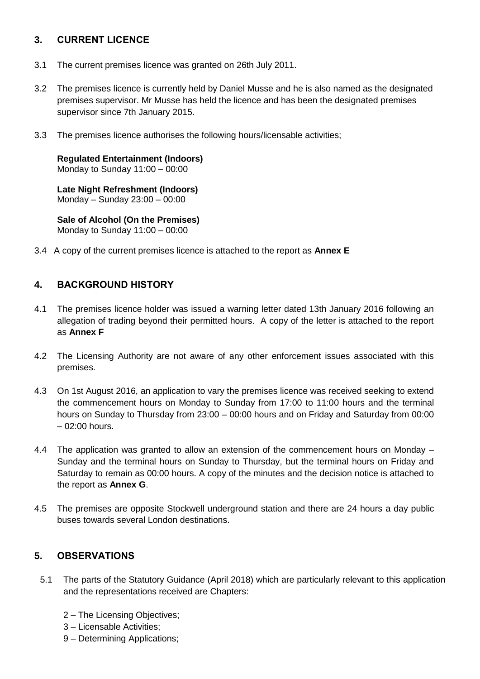# **3. CURRENT LICENCE**

- 3.1 The current premises licence was granted on 26th July 2011.
- 3.2 The premises licence is currently held by Daniel Musse and he is also named as the designated premises supervisor. Mr Musse has held the licence and has been the designated premises supervisor since 7th January 2015.
- 3.3 The premises licence authorises the following hours/licensable activities;

**Regulated Entertainment (Indoors)**  Monday to Sunday 11:00 – 00:00

**Late Night Refreshment (Indoors)**  Monday – Sunday 23:00 – 00:00

**Sale of Alcohol (On the Premises)** Monday to Sunday 11:00 – 00:00

3.4 A copy of the current premises licence is attached to the report as **Annex E**

# **4. BACKGROUND HISTORY**

- 4.1 The premises licence holder was issued a warning letter dated 13th January 2016 following an allegation of trading beyond their permitted hours. A copy of the letter is attached to the report as **Annex F**
- 4.2 The Licensing Authority are not aware of any other enforcement issues associated with this premises.
- 4.3 On 1st August 2016, an application to vary the premises licence was received seeking to extend the commencement hours on Monday to Sunday from 17:00 to 11:00 hours and the terminal hours on Sunday to Thursday from 23:00 – 00:00 hours and on Friday and Saturday from 00:00 – 02:00 hours.
- 4.4 The application was granted to allow an extension of the commencement hours on Monday Sunday and the terminal hours on Sunday to Thursday, but the terminal hours on Friday and Saturday to remain as 00:00 hours. A copy of the minutes and the decision notice is attached to the report as **Annex G**.
- 4.5 The premises are opposite Stockwell underground station and there are 24 hours a day public buses towards several London destinations.

# **5. OBSERVATIONS**

- 5.1 The parts of the Statutory Guidance (April 2018) which are particularly relevant to this application and the representations received are Chapters:
	- 2 The Licensing Objectives;
	- 3 Licensable Activities;
	- 9 Determining Applications;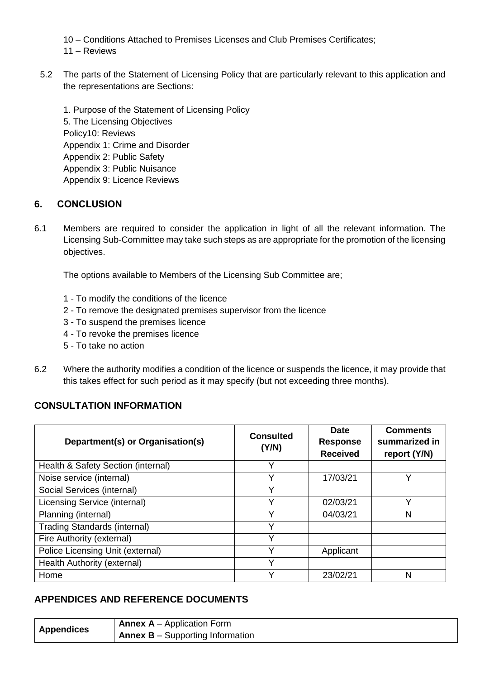10 – Conditions Attached to Premises Licenses and Club Premises Certificates;

11 – Reviews

5.2 The parts of the Statement of Licensing Policy that are particularly relevant to this application and the representations are Sections:

1. Purpose of the Statement of Licensing Policy 5. The Licensing Objectives Policy10: Reviews Appendix 1: Crime and Disorder Appendix 2: Public Safety Appendix 3: Public Nuisance Appendix 9: Licence Reviews

### **6. CONCLUSION**

6.1 Members are required to consider the application in light of all the relevant information. The Licensing Sub-Committee may take such steps as are appropriate for the promotion of the licensing objectives.

The options available to Members of the Licensing Sub Committee are;

- 1 To modify the conditions of the licence
- 2 To remove the designated premises supervisor from the licence
- 3 To suspend the premises licence
- 4 To revoke the premises licence
- 5 To take no action
- 6.2 Where the authority modifies a condition of the licence or suspends the licence, it may provide that this takes effect for such period as it may specify (but not exceeding three months).

### **CONSULTATION INFORMATION**

| Department(s) or Organisation(s)    | <b>Consulted</b><br>(Y/N) | <b>Date</b><br><b>Response</b><br><b>Received</b> | <b>Comments</b><br>summarized in<br>report (Y/N) |
|-------------------------------------|---------------------------|---------------------------------------------------|--------------------------------------------------|
| Health & Safety Section (internal)  | v                         |                                                   |                                                  |
| Noise service (internal)            | v                         | 17/03/21                                          | $\checkmark$                                     |
| Social Services (internal)          |                           |                                                   |                                                  |
| Licensing Service (internal)        | v                         | 02/03/21                                          | $\checkmark$                                     |
| Planning (internal)                 | $\checkmark$              | 04/03/21                                          | N                                                |
| <b>Trading Standards (internal)</b> |                           |                                                   |                                                  |
| Fire Authority (external)           | $\checkmark$              |                                                   |                                                  |
| Police Licensing Unit (external)    | v                         | Applicant                                         |                                                  |
| Health Authority (external)         |                           |                                                   |                                                  |
| Home                                | v                         | 23/02/21                                          | N                                                |

# **APPENDICES AND REFERENCE DOCUMENTS**

| <b>Appendices</b> | <b>Annex A</b> – Application Form       |
|-------------------|-----------------------------------------|
|                   | <b>Annex B</b> – Supporting Information |